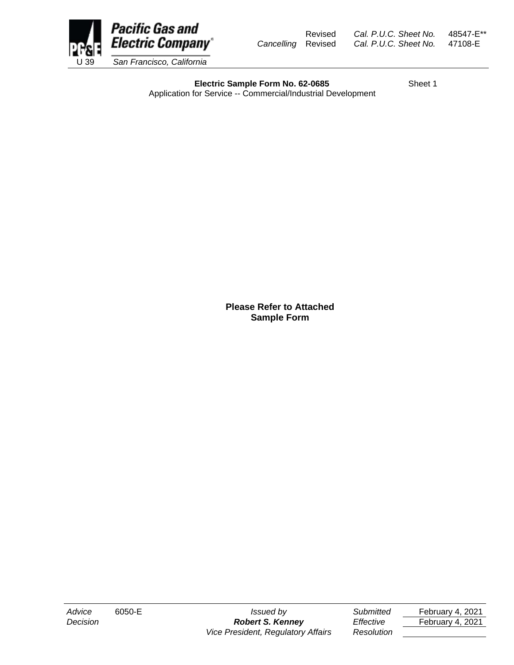

Revised *Cal. P.U.C. Sheet No.* 48547-E\*\* *Cancelling* Revised *Cal. P.U.C. Sheet No.* 47108-E

**Electric Sample Form No. 62-0685** Sheet 1 Application for Service -- Commercial/Industrial Development

> **Please Refer to Attached Sample Form**

*Advice* 6050-E *Issued by Submitted* February 4, 2021 *Decision Robert S. Kenney Effective* February 4, 2021 *Vice President, Regulatory Affairs Resolution*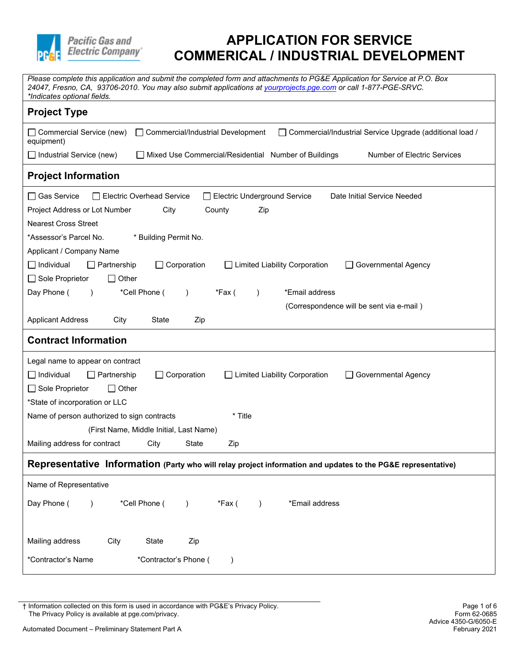

| Please complete this application and submit the completed form and attachments to PG&E Application for Service at P.O. Box<br>24047, Fresno, CA, 93706-2010. You may also submit applications at yourprojects.pge.com or call 1-877-PGE-SRVC.<br>*Indicates optional fields. |
|------------------------------------------------------------------------------------------------------------------------------------------------------------------------------------------------------------------------------------------------------------------------------|
| <b>Project Type</b>                                                                                                                                                                                                                                                          |
| $\Box$ Commercial Service (new)<br>□ Commercial/Industrial Development<br>□ Commercial/Industrial Service Upgrade (additional load /<br>equipment)                                                                                                                           |
| <b>Number of Electric Services</b><br>$\Box$ Industrial Service (new)<br>Mixed Use Commercial/Residential Number of Buildings                                                                                                                                                |
| <b>Project Information</b>                                                                                                                                                                                                                                                   |
| □ Gas Service<br>Electric Overhead Service<br>Date Initial Service Needed<br>Electric Underground Service                                                                                                                                                                    |
| Project Address or Lot Number<br>City<br>County<br>Zip                                                                                                                                                                                                                       |
| <b>Nearest Cross Street</b>                                                                                                                                                                                                                                                  |
| *Assessor's Parcel No.<br>* Building Permit No.                                                                                                                                                                                                                              |
| Applicant / Company Name                                                                                                                                                                                                                                                     |
| $\Box$ Individual<br>Corporation<br>$\Box$ Partnership<br>□ Limited Liability Corporation<br>Governmental Agency<br>$\mathbf{L}$                                                                                                                                             |
| $\Box$ Sole Proprietor<br>$\Box$ Other                                                                                                                                                                                                                                       |
| Day Phone (<br>*Cell Phone (<br>*Email address<br>*Fax (<br>$\lambda$<br>$\lambda$                                                                                                                                                                                           |
| (Correspondence will be sent via e-mail)                                                                                                                                                                                                                                     |
| <b>Applicant Address</b><br>City<br>State<br>Zip                                                                                                                                                                                                                             |
| <b>Contract Information</b>                                                                                                                                                                                                                                                  |
| Legal name to appear on contract                                                                                                                                                                                                                                             |
| $\Box$ Corporation<br>□ Limited Liability Corporation<br>$\Box$ Individual<br>$\Box$ Partnership<br>Governmental Agency                                                                                                                                                      |
| Sole Proprietor<br>$\Box$ Other                                                                                                                                                                                                                                              |
| *State of incorporation or LLC                                                                                                                                                                                                                                               |
| * Title<br>Name of person authorized to sign contracts                                                                                                                                                                                                                       |
| (First Name, Middle Initial, Last Name)                                                                                                                                                                                                                                      |
| Mailing address for contract<br>City<br>State<br>Zip                                                                                                                                                                                                                         |
| Representative Information (Party who will relay project information and updates to the PG&E representative)                                                                                                                                                                 |
| Name of Representative                                                                                                                                                                                                                                                       |
| *Cell Phone (<br>*Email address<br>Day Phone (<br>*Fax (<br>$\lambda$<br>$\lambda$                                                                                                                                                                                           |
|                                                                                                                                                                                                                                                                              |
| Mailing address<br>State<br>Zip<br>City                                                                                                                                                                                                                                      |
| *Contractor's Name<br>*Contractor's Phone (                                                                                                                                                                                                                                  |
|                                                                                                                                                                                                                                                                              |

† Information collected on this form is used in accordance with PG&E's Privacy Policy. Page 1 of 6 The Privacy Policy is available at pge.com/privacy.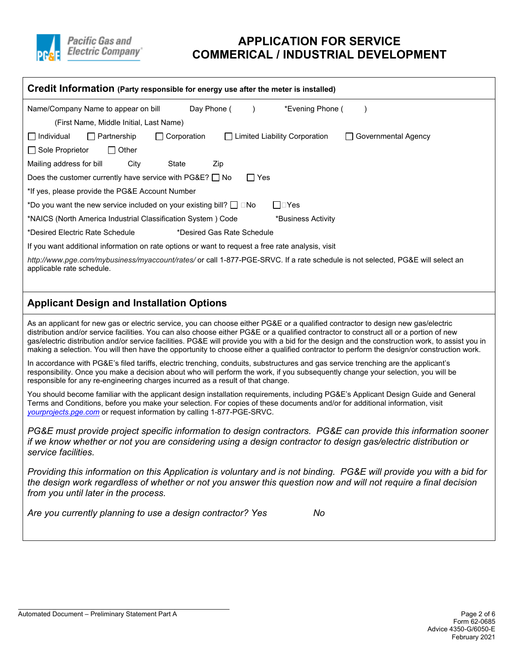

| Credit Information (Party responsible for energy use after the meter is installed)                                                                                                                                                                                                                                                                                                                                                                                                                                                                                           |
|------------------------------------------------------------------------------------------------------------------------------------------------------------------------------------------------------------------------------------------------------------------------------------------------------------------------------------------------------------------------------------------------------------------------------------------------------------------------------------------------------------------------------------------------------------------------------|
| Day Phone (<br>*Evening Phone (<br>Name/Company Name to appear on bill                                                                                                                                                                                                                                                                                                                                                                                                                                                                                                       |
| (First Name, Middle Initial, Last Name)                                                                                                                                                                                                                                                                                                                                                                                                                                                                                                                                      |
| Individual<br>$\Box$ Partnership<br>$\Box$ Corporation<br>□ Limited Liability Corporation<br>Governmental Agency                                                                                                                                                                                                                                                                                                                                                                                                                                                             |
| Sole Proprietor<br>$\Box$ Other                                                                                                                                                                                                                                                                                                                                                                                                                                                                                                                                              |
| Mailing address for bill<br>City<br>State<br>Zip                                                                                                                                                                                                                                                                                                                                                                                                                                                                                                                             |
| Does the customer currently have service with $PG&E?$ No<br>$\Box$ Yes                                                                                                                                                                                                                                                                                                                                                                                                                                                                                                       |
| *If yes, please provide the PG&E Account Number                                                                                                                                                                                                                                                                                                                                                                                                                                                                                                                              |
| *Do you want the new service included on your existing bill? $\Box$ $\Box$ No<br>⊟⊡Yes                                                                                                                                                                                                                                                                                                                                                                                                                                                                                       |
| *NAICS (North America Industrial Classification System) Code<br>*Business Activity                                                                                                                                                                                                                                                                                                                                                                                                                                                                                           |
| *Desired Electric Rate Schedule<br>*Desired Gas Rate Schedule                                                                                                                                                                                                                                                                                                                                                                                                                                                                                                                |
| If you want additional information on rate options or want to request a free rate analysis, visit                                                                                                                                                                                                                                                                                                                                                                                                                                                                            |
| http://www.pge.com/mybusiness/myaccount/rates/ or call 1-877-PGE-SRVC. If a rate schedule is not selected, PG&E will select an<br>applicable rate schedule.                                                                                                                                                                                                                                                                                                                                                                                                                  |
| <b>Applicant Design and Installation Options</b>                                                                                                                                                                                                                                                                                                                                                                                                                                                                                                                             |
| As an applicant for new gas or electric service, you can choose either PG&E or a qualified contractor to design new gas/electric<br>distribution and/or service facilities. You can also choose either PG&E or a qualified contractor to construct all or a portion of new<br>gas/electric distribution and/or service facilities. PG&E will provide you with a bid for the design and the construction work, to assist you in<br>making a selection. You will then have the opportunity to choose either a qualified contractor to perform the design/or construction work. |
| In accordance with PG&E's filed tariffs, electric trenching, conduits, substructures and gas service trenching are the applicant's<br>responsibility. Once you make a decision about who will perform the work, if you subsequently change your selection, you will be<br>responsible for any re-engineering charges incurred as a result of that change.                                                                                                                                                                                                                    |
| You should become familiar with the applicant design installation requirements, including PG&E's Applicant Design Guide and General<br>Terms and Conditions, before you make your selection. For copies of these documents and/or for additional information, visit<br>yourprojects.pge.com or request information by calling 1-877-PGE-SRVC.                                                                                                                                                                                                                                |
| PG&E must provide project specific information to design contractors. PG&E can provide this information sooner<br>if we know whether or not you are considering using a design contractor to design gas/electric distribution or<br>service facilities.                                                                                                                                                                                                                                                                                                                      |
| Providing this information on this Application is voluntary and is not binding. PG&E will provide you with a bid for<br>the design work regardless of whether or not you answer this question now and will not require a final decision<br>from you until later in the process.                                                                                                                                                                                                                                                                                              |
| Are you currently planning to use a design contractor? Yes<br>No                                                                                                                                                                                                                                                                                                                                                                                                                                                                                                             |
|                                                                                                                                                                                                                                                                                                                                                                                                                                                                                                                                                                              |
|                                                                                                                                                                                                                                                                                                                                                                                                                                                                                                                                                                              |
|                                                                                                                                                                                                                                                                                                                                                                                                                                                                                                                                                                              |
|                                                                                                                                                                                                                                                                                                                                                                                                                                                                                                                                                                              |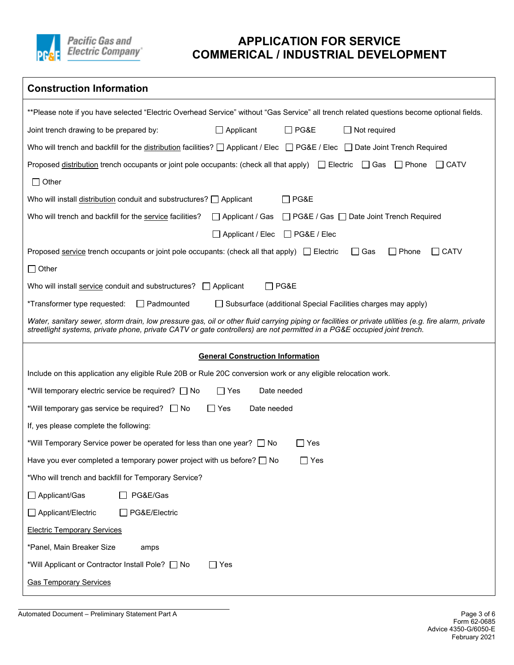

| <b>Construction Information</b>                                                                                                                                                                                                                                                   |
|-----------------------------------------------------------------------------------------------------------------------------------------------------------------------------------------------------------------------------------------------------------------------------------|
| **Please note if you have selected "Electric Overhead Service" without "Gas Service" all trench related questions become optional fields.                                                                                                                                         |
| $\Box$ PG&E<br>Joint trench drawing to be prepared by:<br>$\Box$ Applicant<br>$\Box$ Not required                                                                                                                                                                                 |
| Who will trench and backfill for the distribution facilities? $\Box$ Applicant / Elec $\Box$ PG&E / Elec $\Box$ Date Joint Trench Required                                                                                                                                        |
| Proposed distribution trench occupants or joint pole occupants: (check all that apply) □ Electric □ Gas □ Phone<br>I CATV                                                                                                                                                         |
| $\Box$ Other                                                                                                                                                                                                                                                                      |
| Who will install distribution conduit and substructures? $\Box$ Applicant<br>$\Box$ PG&E                                                                                                                                                                                          |
| Who will trench and backfill for the service facilities?<br>$\Box$ Applicant / Gas<br>□ PG&E / Gas □ Date Joint Trench Required                                                                                                                                                   |
| □ Applicant / Elec<br>$\Box$ PG&E / Elec                                                                                                                                                                                                                                          |
| $\Box$ Phone<br>Proposed service trench occupants or joint pole occupants: (check all that apply) $\Box$ Electric<br>$\Box$ Gas<br>$\Box$ CATV                                                                                                                                    |
| $\Box$ Other                                                                                                                                                                                                                                                                      |
| $\Box$ PG&E<br>Who will install service conduit and substructures?   Applicant                                                                                                                                                                                                    |
| *Transformer type requested:<br>$\Box$ Padmounted<br>□ Subsurface (additional Special Facilities charges may apply)                                                                                                                                                               |
| Water, sanitary sewer, storm drain, low pressure gas, oil or other fluid carrying piping or facilities or private utilities (e.g. fire alarm, private<br>streetlight systems, private phone, private CATV or gate controllers) are not permitted in a PG&E occupied joint trench. |
| <b>General Construction Information</b>                                                                                                                                                                                                                                           |
| Include on this application any eligible Rule 20B or Rule 20C conversion work or any eligible relocation work.                                                                                                                                                                    |
| $\Box$ Yes<br>Date needed<br>*Will temporary electric service be required? □ No                                                                                                                                                                                                   |
| *Will temporary gas service be required? □ No<br>Yes<br>Date needed                                                                                                                                                                                                               |
| If, yes please complete the following:                                                                                                                                                                                                                                            |
| *Will Temporary Service power be operated for less than one year? □ No<br>Yes                                                                                                                                                                                                     |
| Have you ever completed a temporary power project with us before? $\Box$ No<br>$\exists$ Yes                                                                                                                                                                                      |
| *Who will trench and backfill for Temporary Service?                                                                                                                                                                                                                              |
| □ Applicant/Gas<br>PG&E/Gas                                                                                                                                                                                                                                                       |
| □ Applicant/Electric<br>□ PG&E/Electric                                                                                                                                                                                                                                           |
| <b>Electric Temporary Services</b>                                                                                                                                                                                                                                                |
| *Panel, Main Breaker Size<br>amps                                                                                                                                                                                                                                                 |
| *Will Applicant or Contractor Install Pole? No<br>$\Box$ Yes                                                                                                                                                                                                                      |
| <b>Gas Temporary Services</b>                                                                                                                                                                                                                                                     |

Automated Document – Preliminary Statement Part A Page 3 of 6

l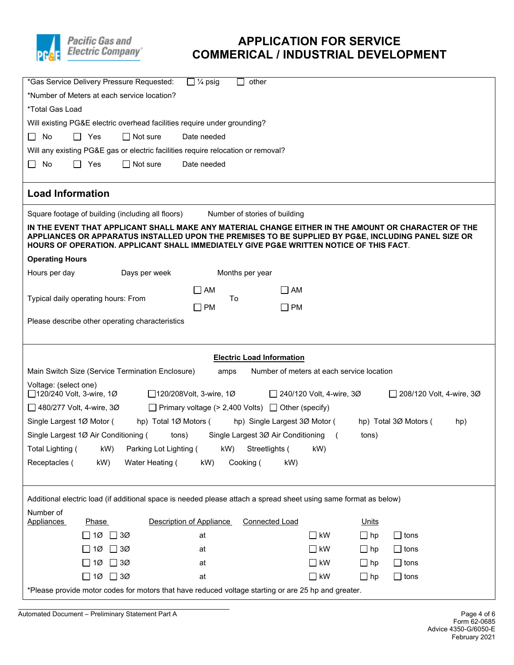

| $\overline{\Box}$ 1/4 psig<br>*Gas Service Delivery Pressure Requested:<br>other                                                                                                                                                                                                                     |
|------------------------------------------------------------------------------------------------------------------------------------------------------------------------------------------------------------------------------------------------------------------------------------------------------|
| *Number of Meters at each service location?                                                                                                                                                                                                                                                          |
| <i>*Total Gas Load</i>                                                                                                                                                                                                                                                                               |
| Will existing PG&E electric overhead facilities require under grounding?                                                                                                                                                                                                                             |
| $\Box$<br>No<br>$\Box$ Yes<br>$\Box$ Not sure<br>Date needed                                                                                                                                                                                                                                         |
| Will any existing PG&E gas or electric facilities require relocation or removal?                                                                                                                                                                                                                     |
| No<br>Yes<br>$\Box$ Not sure<br>П<br>Date needed                                                                                                                                                                                                                                                     |
| <b>Load Information</b>                                                                                                                                                                                                                                                                              |
| Square footage of building (including all floors)<br>Number of stories of building                                                                                                                                                                                                                   |
| IN THE EVENT THAT APPLICANT SHALL MAKE ANY MATERIAL CHANGE EITHER IN THE AMOUNT OR CHARACTER OF THE<br>APPLIANCES OR APPARATUS INSTALLED UPON THE PREMISES TO BE SUPPLIED BY PG&E, INCLUDING PANEL SIZE OR<br>HOURS OF OPERATION. APPLICANT SHALL IMMEDIATELY GIVE PG&E WRITTEN NOTICE OF THIS FACT. |
| <b>Operating Hours</b>                                                                                                                                                                                                                                                                               |
| Days per week<br>Hours per day<br>Months per year                                                                                                                                                                                                                                                    |
| $\Box$ AM<br>AM                                                                                                                                                                                                                                                                                      |
| Typical daily operating hours: From<br>To<br>$\square$ PM<br><b>PM</b>                                                                                                                                                                                                                               |
| Please describe other operating characteristics                                                                                                                                                                                                                                                      |
|                                                                                                                                                                                                                                                                                                      |
|                                                                                                                                                                                                                                                                                                      |
| <b>Electric Load Information</b>                                                                                                                                                                                                                                                                     |
| Main Switch Size (Service Termination Enclosure)<br>Number of meters at each service location<br>amps                                                                                                                                                                                                |
| Voltage: (select one)<br>□ 120/240 Volt, 3-wire, 1Ø<br>□ 120/208Volt, 3-wire, 1Ø<br>□ 240/120 Volt, 4-wire, 3Ø<br>$\Box$ 208/120 Volt, 4-wire, 30                                                                                                                                                    |
| $\Box$ 480/277 Volt, 4-wire, 30<br>$\Box$ Primary voltage (> 2,400 Volts) $\Box$ Other (specify)                                                                                                                                                                                                     |
| Single Largest 1Ø Motor (<br>hp) Total 1Ø Motors (<br>hp) Single Largest 3Ø Motor (<br>hp) Total 3Ø Motors (<br>hp)                                                                                                                                                                                  |
| Single Largest 1Ø Air Conditioning (<br>tons)<br>Single Largest 3Ø Air Conditioning<br>tons)<br>$\sqrt{2}$                                                                                                                                                                                           |
| Total Lighting ( kW) Parking Lot Lighting ( kW) Streetlights ( kW)                                                                                                                                                                                                                                   |
| Receptacles (<br>kW)<br>Water Heating (<br>kW)<br>Cooking (<br>kW)                                                                                                                                                                                                                                   |
|                                                                                                                                                                                                                                                                                                      |
| Additional electric load (if additional space is needed please attach a spread sheet using same format as below)                                                                                                                                                                                     |
| Number of<br>Description of Appliance<br><b>Connected Load</b>                                                                                                                                                                                                                                       |
| Units<br><b>Appliances</b><br><b>Phase</b><br>$\Box$ kW<br>$\Box$ 3Ø<br>at<br>$\Box$ hp<br>$\Box$ tons<br>1Ø                                                                                                                                                                                         |
| $\sqsupset$ kW<br>3Ø<br>$\Box$ hp<br>$\Box$ tons<br>1Ø<br>at<br>$\perp$                                                                                                                                                                                                                              |
| 1Ø<br>$\Box$ 3Ø<br>$\Box$ kW<br>$\Box$ hp<br>at<br>$\Box$ tons                                                                                                                                                                                                                                       |
|                                                                                                                                                                                                                                                                                                      |
| $\Box$ 10 $\Box$ 30<br>$\Box$ kW<br>at<br>$\Box$ hp<br>$\Box$ tons                                                                                                                                                                                                                                   |

l Automated Document – Preliminary Statement Part A Page 4 of 6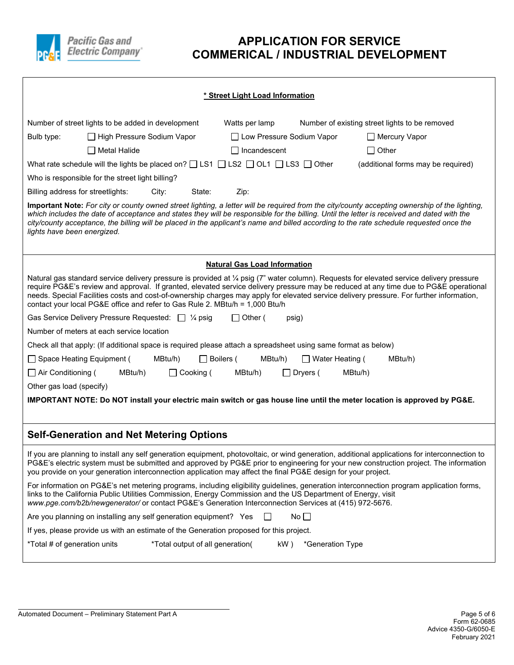

| * Street Light Load Information                                                                                                                                                                                                                                                                                                                                                                                                                                                                                |
|----------------------------------------------------------------------------------------------------------------------------------------------------------------------------------------------------------------------------------------------------------------------------------------------------------------------------------------------------------------------------------------------------------------------------------------------------------------------------------------------------------------|
| Number of street lights to be added in development<br>Watts per lamp<br>Number of existing street lights to be removed                                                                                                                                                                                                                                                                                                                                                                                         |
| □ High Pressure Sodium Vapor<br>□ Low Pressure Sodium Vapor<br>Bulb type:<br>□ Mercury Vapor                                                                                                                                                                                                                                                                                                                                                                                                                   |
| $\Box$ Metal Halide<br>$\Box$ Incandescent<br>$\Box$ Other                                                                                                                                                                                                                                                                                                                                                                                                                                                     |
| What rate schedule will the lights be placed on? $\Box$ LS1 $\Box$ LS2 $\Box$ OL1 $\Box$ LS3 $\Box$ Other<br>(additional forms may be required)                                                                                                                                                                                                                                                                                                                                                                |
| Who is responsible for the street light billing?                                                                                                                                                                                                                                                                                                                                                                                                                                                               |
| Billing address for streetlights:<br>City:<br>State:<br>Zip:                                                                                                                                                                                                                                                                                                                                                                                                                                                   |
| Important Note: For city or county owned street lighting, a letter will be required from the city/county accepting ownership of the lighting,<br>which includes the date of acceptance and states they will be responsible for the billing. Until the letter is received and dated with the<br>city/county acceptance, the billing will be placed in the applicant's name and billed according to the rate schedule requested once the<br>lights have been energized.                                          |
| <b>Natural Gas Load Information</b>                                                                                                                                                                                                                                                                                                                                                                                                                                                                            |
| Natural gas standard service delivery pressure is provided at 1/4 psig (7" water column). Requests for elevated service delivery pressure<br>require PG&E's review and approval. If granted, elevated service delivery pressure may be reduced at any time due to PG&E operational<br>needs. Special Facilities costs and cost-of-ownership charges may apply for elevated service delivery pressure. For further information,<br>contact your local PG&E office and refer to Gas Rule 2. MBtu/h = 1,000 Btu/h |
| Gas Service Delivery Pressure Requested: □ ¼ psig<br>$\Box$ Other (<br>psig)                                                                                                                                                                                                                                                                                                                                                                                                                                   |
| Number of meters at each service location                                                                                                                                                                                                                                                                                                                                                                                                                                                                      |
| Check all that apply: (If additional space is required please attach a spreadsheet using same format as below)                                                                                                                                                                                                                                                                                                                                                                                                 |
| □ Space Heating Equipment (<br>$\Box$ Boilers (<br>MBtu/h)<br>□ Water Heating (<br>MBtu/h)<br>MBtu/h)                                                                                                                                                                                                                                                                                                                                                                                                          |
| $\Box$ Air Conditioning (<br>MBtu/h)<br>MBtu/h)<br>MBtu/h)<br>$\Box$ Cooking (<br>$\Box$ Dryers (                                                                                                                                                                                                                                                                                                                                                                                                              |
| Other gas load (specify)                                                                                                                                                                                                                                                                                                                                                                                                                                                                                       |
| IMPORTANT NOTE: Do NOT install your electric main switch or gas house line until the meter location is approved by PG&E.                                                                                                                                                                                                                                                                                                                                                                                       |
|                                                                                                                                                                                                                                                                                                                                                                                                                                                                                                                |
| <b>Self-Generation and Net Metering Options</b>                                                                                                                                                                                                                                                                                                                                                                                                                                                                |
| If you are planning to install any self generation equipment, photovoltaic, or wind generation, additional applications for interconnection to<br>PG&E's electric system must be submitted and approved by PG&E prior to engineering for your new construction project. The information<br>you provide on your generation interconnection application may affect the final PG&E design for your project.                                                                                                       |
| For information on PG&E's net metering programs, including eligibility guidelines, generation interconnection program application forms,<br>links to the California Public Utilities Commission, Energy Commission and the US Department of Energy, visit<br>www.pge.com/b2b/newgenerator/ or contact PG&E's Generation Interconnection Services at (415) 972-5676.                                                                                                                                            |
| No $\Box$<br>Are you planning on installing any self generation equipment? Yes                                                                                                                                                                                                                                                                                                                                                                                                                                 |
| If yes, please provide us with an estimate of the Generation proposed for this project.                                                                                                                                                                                                                                                                                                                                                                                                                        |
| *Total # of generation units<br>*Total output of all generation(<br>kW)<br>*Generation Type                                                                                                                                                                                                                                                                                                                                                                                                                    |

l